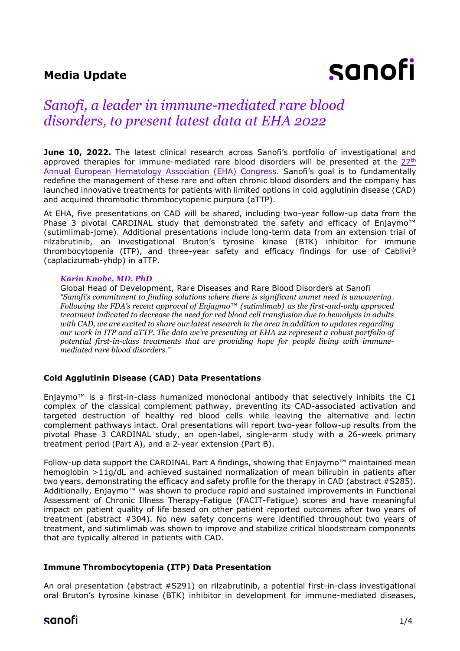## **Media Update**

# sanofi

# *Sanofi, a leader in immune-mediated rare blood disorders, to present latest data at EHA 2022*

**June 10, 2022.** The latest clinical research across Sanofi's portfolio of investigational and approved therapies for immune-mediated rare blood disorders will be presented at the  $27<sup>th</sup>$ [Annual European Hematology Association \(EHA\) Congress](https://ehaweb.org/congress/eha2022-hybrid/eha2022-congress/). Sanofi's goal is to fundamentally redefine the management of these rare and often chronic blood disorders and the company has launched innovative treatments for patients with limited options in cold agglutinin disease (CAD) and acquired thrombotic thrombocytopenic purpura (aTTP).

At EHA, five presentations on CAD will be shared, including two-year follow-up data from the Phase 3 pivotal CARDINAL study that demonstrated the safety and efficacy of Enjaymo<sup>™</sup> (sutimlimab-jome). Additional presentations include long-term data from an extension trial of rilzabrutinib, an investigational Bruton's tyrosine kinase (BTK) inhibitor for immune thrombocytopenia (ITP), and three-year safety and efficacy findings for use of Cablivi® (caplacizumab-yhdp) in aTTP.

#### *Karin Knobe, MD, PhD*

Global Head of Development, Rare Diseases and Rare Blood Disorders at Sanofi *"Sanofi's commitment to finding solutions where there is significant unmet need is unwavering. Following the FDA's recent approval of Enjaymo™ (sutimlimab) as the first-and-only approved treatment indicated to decrease the need for red blood cell transfusion due to hemolysis in adults with CAD, we are excited to share our latest research in the area in addition to updates regarding our work in ITP and aTTP. The data we're presenting at EHA 22 represent a robust portfolio of potential first-in-class treatments that are providing hope for people living with immunemediated rare blood disorders."*

#### **Cold Agglutinin Disease (CAD) Data Presentations**

Enjaymo<sup>™</sup> is a first-in-class humanized monoclonal antibody that selectively inhibits the C1 complex of the classical complement pathway, preventing its CAD-associated activation and targeted destruction of healthy red blood cells while leaving the alternative and lectin complement pathways intact. Oral presentations will report two-year follow-up results from the pivotal Phase 3 CARDINAL study, an open-label, single-arm study with a 26-week primary treatment period (Part A), and a 2-year extension (Part B).

Follow-up data support the CARDINAL Part A findings, showing that Enjaymo™ maintained mean hemoglobin >11g/dL and achieved sustained normalization of mean bilirubin in patients after two years, demonstrating the efficacy and safety profile for the therapy in CAD (abstract #S285). Additionally, Enjaymo™ was shown to produce rapid and sustained improvements in Functional Assessment of Chronic Illness Therapy-Fatigue (FACIT-Fatigue) scores and have meaningful impact on patient quality of life based on other patient reported outcomes after two years of treatment (abstract #304). No new safety concerns were identified throughout two years of treatment, and sutimlimab was shown to improve and stabilize critical bloodstream components that are typically altered in patients with CAD.

#### **Immune Thrombocytopenia (ITP) Data Presentation**

An oral presentation (abstract #S291) on rilzabrutinib, a potential first-in-class investigational oral Bruton's tyrosine kinase (BTK) inhibitor in development for immune-mediated diseases,

## sanofi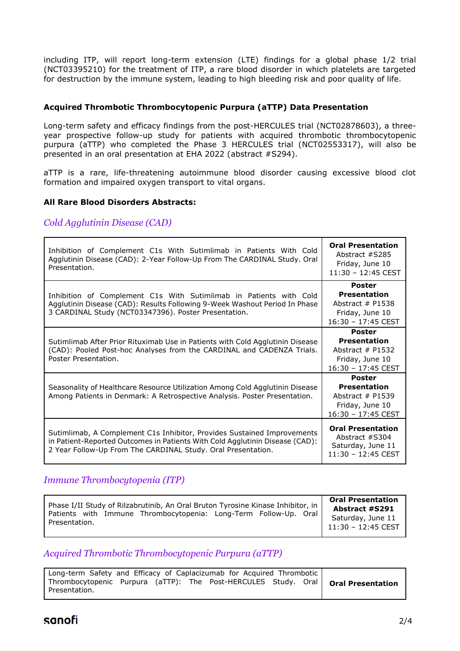including ITP, will report long-term extension (LTE) findings for a global phase 1/2 trial (NCT03395210) for the treatment of ITP, a rare blood disorder in which platelets are targeted for destruction by the immune system, leading to high bleeding risk and poor quality of life.

#### **Acquired Thrombotic Thrombocytopenic Purpura (aTTP) Data Presentation**

Long-term safety and efficacy findings from the post-HERCULES trial (NCT02878603), a threeyear prospective follow-up study for patients with acquired thrombotic thrombocytopenic purpura (aTTP) who completed the Phase 3 HERCULES trial (NCT02553317), will also be presented in an oral presentation at EHA 2022 (abstract #S294).

aTTP is a rare, life-threatening autoimmune blood disorder causing excessive blood clot formation and impaired oxygen transport to vital organs.

#### **All Rare Blood Disorders Abstracts:**

*Cold Agglutinin Disease (CAD)*

| Inhibition of Complement C1s With Sutimlimab in Patients With Cold<br>Agglutinin Disease (CAD): 2-Year Follow-Up From The CARDINAL Study. Oral<br>Presentation.                                                         | <b>Oral Presentation</b><br>Abstract #S285<br>Friday, June 10<br>11:30 - 12:45 CEST                   |
|-------------------------------------------------------------------------------------------------------------------------------------------------------------------------------------------------------------------------|-------------------------------------------------------------------------------------------------------|
| Inhibition of Complement C1s With Sutimlimab in Patients with Cold<br>Agglutinin Disease (CAD): Results Following 9-Week Washout Period In Phase<br>3 CARDINAL Study (NCT03347396). Poster Presentation.                | <b>Poster</b><br><b>Presentation</b><br>Abstract $#$ P1538<br>Friday, June 10<br>$16:30 - 17:45$ CEST |
| Sutimlimab After Prior Rituximab Use in Patients with Cold Agglutinin Disease<br>(CAD): Pooled Post-hoc Analyses from the CARDINAL and CADENZA Trials.<br>Poster Presentation.                                          | <b>Poster</b><br><b>Presentation</b><br>Abstract $#$ P1532<br>Friday, June 10<br>16:30 - 17:45 CEST   |
| Seasonality of Healthcare Resource Utilization Among Cold Agglutinin Disease<br>Among Patients in Denmark: A Retrospective Analysis. Poster Presentation.                                                               | <b>Poster</b><br><b>Presentation</b><br>Abstract $#$ P1539<br>Friday, June 10<br>16:30 - 17:45 CEST   |
| Sutimlimab, A Complement C1s Inhibitor, Provides Sustained Improvements<br>in Patient-Reported Outcomes in Patients With Cold Agglutinin Disease (CAD):<br>2 Year Follow-Up From The CARDINAL Study. Oral Presentation. | <b>Oral Presentation</b><br>Abstract #S304<br>Saturday, June 11<br>$11:30 - 12:45$ CEST               |

## *Immune Thrombocytopenia (ITP)*

| Phase I/II Study of Rilzabrutinib, An Oral Bruton Tyrosine Kinase Inhibitor, in<br>Patients with Immune Thrombocytopenia: Long-Term Follow-Up. Oral<br>Presentation. | <b>Oral Presentation</b><br><b>Abstract #S291</b><br>Saturday, June 11<br>11:30 - 12:45 CEST |
|----------------------------------------------------------------------------------------------------------------------------------------------------------------------|----------------------------------------------------------------------------------------------|
|----------------------------------------------------------------------------------------------------------------------------------------------------------------------|----------------------------------------------------------------------------------------------|

## *Acquired Thrombotic Thrombocytopenic Purpura (aTTP)*

| Long-term Safety and Efficacy of Caplacizumab for Acquired Thrombotic |  |  |  |  |  |  |                                                                                    |
|-----------------------------------------------------------------------|--|--|--|--|--|--|------------------------------------------------------------------------------------|
| Presentation.                                                         |  |  |  |  |  |  | Thrombocytopenic Purpura (aTTP): The Post-HERCULES Study. Oral   Oral Presentation |
|                                                                       |  |  |  |  |  |  |                                                                                    |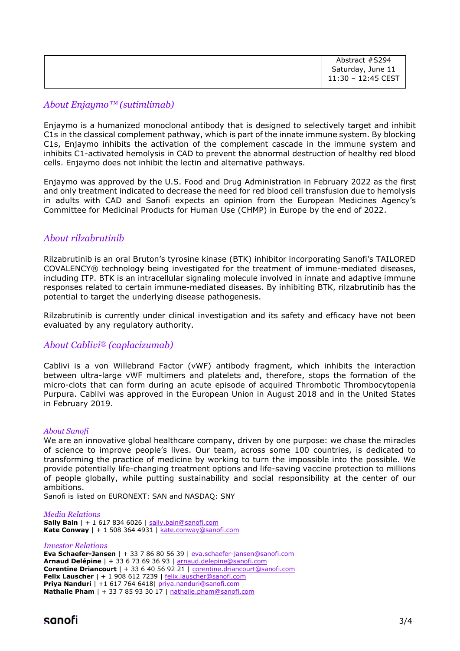| Abstract #S294     |
|--------------------|
| Saturday, June 11  |
| 11:30 - 12:45 CEST |
|                    |

### *About Enjaymo™ (sutimlimab)*

Enjaymo is a humanized monoclonal antibody that is designed to selectively target and inhibit C1s in the classical complement pathway, which is part of the innate immune system. By blocking C1s, Enjaymo inhibits the activation of the complement cascade in the immune system and inhibits C1-activated hemolysis in CAD to prevent the abnormal destruction of healthy red blood cells. Enjaymo does not inhibit the lectin and alternative pathways.

Enjaymo was approved by the U.S. Food and Drug Administration in February 2022 as the first and only treatment indicated to decrease the need for red blood cell transfusion due to hemolysis in adults with CAD and Sanofi expects an opinion from the European Medicines Agency's Committee for Medicinal Products for Human Use (CHMP) in Europe by the end of 2022.

#### *About rilzabrutinib*

Rilzabrutinib is an oral Bruton's tyrosine kinase (BTK) inhibitor incorporating Sanofi's TAILORED COVALENCY® technology being investigated for the treatment of immune-mediated diseases, including ITP. BTK is an intracellular signaling molecule involved in innate and adaptive immune responses related to certain immune-mediated diseases. By inhibiting BTK, rilzabrutinib has the potential to target the underlying disease pathogenesis.

Rilzabrutinib is currently under clinical investigation and its safety and efficacy have not been evaluated by any regulatory authority.

#### *About Cablivi® (caplacizumab)*

Cablivi is a von Willebrand Factor (vWF) antibody fragment, which inhibits the interaction between ultra-large vWF multimers and platelets and, therefore, stops the formation of the micro-clots that can form during an acute episode of acquired Thrombotic Thrombocytopenia Purpura. Cablivi was approved in the European Union in August 2018 and in the United States in February 2019.

#### *About Sanofi*

We are an innovative global healthcare company, driven by one purpose: we chase the miracles of science to improve people's lives. Our team, across some 100 countries, is dedicated to transforming the practice of medicine by working to turn the impossible into the possible. We provide potentially life-changing treatment options and life-saving vaccine protection to millions of people globally, while putting sustainability and social responsibility at the center of our ambitions.

Sanofi is listed on EURONEXT: SAN and NASDAQ: SNY

#### *Media Relations*

**Sally Bain** | + 1 617 834 6026 | [sally.bain@sanofi.com](mailto:sally.bain@sanofi.com) **Kate Conway** | + 1 508 364 4931 | [kate.conway@sanofi.com](mailto:kate.conway@sanofi.com)

#### *Investor Relations*

**Eva Schaefer-Jansen** | + 33 7 86 80 56 39 | [eva.schaefer-jansen@sanofi.com](mailto:eva.schaefer-jansen@sanofi.com) **Arnaud Delépine** | + 33 6 73 69 36 93 | [arnaud.delepine@sanofi.com](mailto:arnaud.delepine@sanofi.com) **Corentine Driancourt** | + 33 6 40 56 92 21 | [corentine.driancourt@sanofi.com](mailto:corentine.driancourt@sanofi.com) **Felix Lauscher** | + 1 908 612 7239 | [felix.lauscher@sanofi.com](mailto:felix.lauscher@sanofi.com) **Priya Nanduri** | +1 617 764 6418| [priya.nanduri@sanofi.com](mailto:priya.nanduri@sanofi.com) **Nathalie Pham** | + 33 7 85 93 30 17 | [nathalie.pham@sanofi.com](mailto:nathalie.pham@sanofi.com)